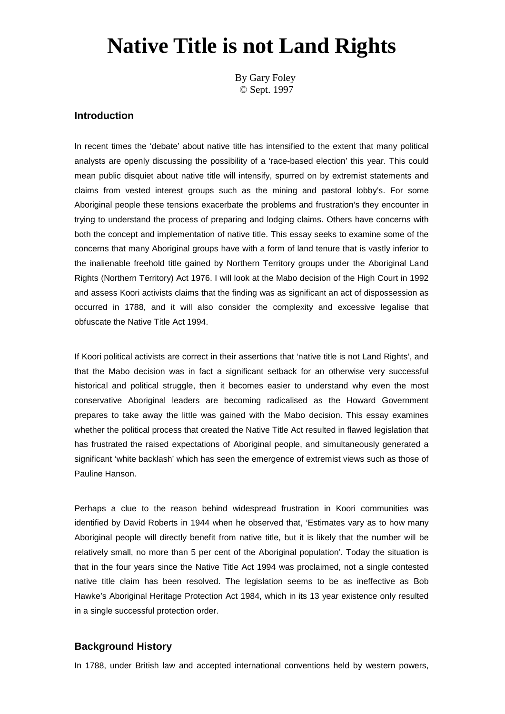# **Native Title is not Land Rights**

By Gary Foley © Sept. 1997

#### **Introduction**

In recent times the 'debate' about native title has intensified to the extent that many political analysts are openly discussing the possibility of a 'race-based election' this year. This could mean public disquiet about native title will intensify, spurred on by extremist statements and claims from vested interest groups such as the mining and pastoral lobby's. For some Aboriginal people these tensions exacerbate the problems and frustration's they encounter in trying to understand the process of preparing and lodging claims. Others have concerns with both the concept and implementation of native title. This essay seeks to examine some of the concerns that many Aboriginal groups have with a form of land tenure that is vastly inferior to the inalienable freehold title gained by Northern Territory groups under the Aboriginal Land Rights (Northern Territory) Act 1976. I will look at the Mabo decision of the High Court in 1992 and assess Koori activists claims that the finding was as significant an act of dispossession as occurred in 1788, and it will also consider the complexity and excessive legalise that obfuscate the Native Title Act 1994.

If Koori political activists are correct in their assertions that 'native title is not Land Rights', and that the Mabo decision was in fact a significant setback for an otherwise very successful historical and political struggle, then it becomes easier to understand why even the most conservative Aboriginal leaders are becoming radicalised as the Howard Government prepares to take away the little was gained with the Mabo decision. This essay examines whether the political process that created the Native Title Act resulted in flawed legislation that has frustrated the raised expectations of Aboriginal people, and simultaneously generated a significant 'white backlash' which has seen the emergence of extremist views such as those of Pauline Hanson.

Perhaps a clue to the reason behind widespread frustration in Koori communities was identified by David Roberts in 1944 when he observed that, 'Estimates vary as to how many Aboriginal people will directly benefit from native title, but it is likely that the number will be relatively small, no more than 5 per cent of the Aboriginal population'. Today the situation is that in the four years since the Native Title Act 1994 was proclaimed, not a single contested native title claim has been resolved. The legislation seems to be as ineffective as Bob Hawke's Aboriginal Heritage Protection Act 1984, which in its 13 year existence only resulted in a single successful protection order.

### **Background History**

In 1788, under British law and accepted international conventions held by western powers,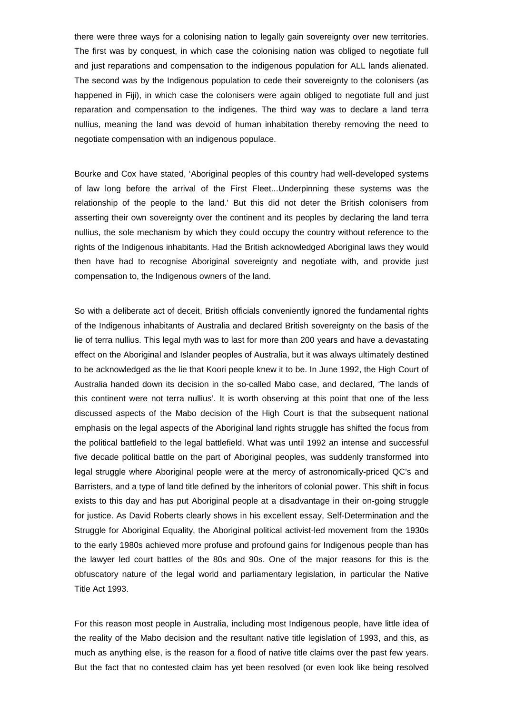there were three ways for a colonising nation to legally gain sovereignty over new territories. The first was by conquest, in which case the colonising nation was obliged to negotiate full and just reparations and compensation to the indigenous population for ALL lands alienated. The second was by the Indigenous population to cede their sovereignty to the colonisers (as happened in Fiji), in which case the colonisers were again obliged to negotiate full and just reparation and compensation to the indigenes. The third way was to declare a land terra nullius, meaning the land was devoid of human inhabitation thereby removing the need to negotiate compensation with an indigenous populace.

Bourke and Cox have stated, 'Aboriginal peoples of this country had well-developed systems of law long before the arrival of the First Fleet...Underpinning these systems was the relationship of the people to the land.' But this did not deter the British colonisers from asserting their own sovereignty over the continent and its peoples by declaring the land terra nullius, the sole mechanism by which they could occupy the country without reference to the rights of the Indigenous inhabitants. Had the British acknowledged Aboriginal laws they would then have had to recognise Aboriginal sovereignty and negotiate with, and provide just compensation to, the Indigenous owners of the land.

So with a deliberate act of deceit, British officials conveniently ignored the fundamental rights of the Indigenous inhabitants of Australia and declared British sovereignty on the basis of the lie of terra nullius. This legal myth was to last for more than 200 years and have a devastating effect on the Aboriginal and Islander peoples of Australia, but it was always ultimately destined to be acknowledged as the lie that Koori people knew it to be. In June 1992, the High Court of Australia handed down its decision in the so-called Mabo case, and declared, 'The lands of this continent were not terra nullius'. It is worth observing at this point that one of the less discussed aspects of the Mabo decision of the High Court is that the subsequent national emphasis on the legal aspects of the Aboriginal land rights struggle has shifted the focus from the political battlefield to the legal battlefield. What was until 1992 an intense and successful five decade political battle on the part of Aboriginal peoples, was suddenly transformed into legal struggle where Aboriginal people were at the mercy of astronomically-priced QC's and Barristers, and a type of land title defined by the inheritors of colonial power. This shift in focus exists to this day and has put Aboriginal people at a disadvantage in their on-going struggle for justice. As David Roberts clearly shows in his excellent essay, Self-Determination and the Struggle for Aboriginal Equality, the Aboriginal political activist-led movement from the 1930s to the early 1980s achieved more profuse and profound gains for Indigenous people than has the lawyer led court battles of the 80s and 90s. One of the major reasons for this is the obfuscatory nature of the legal world and parliamentary legislation, in particular the Native Title Act 1993.

For this reason most people in Australia, including most Indigenous people, have little idea of the reality of the Mabo decision and the resultant native title legislation of 1993, and this, as much as anything else, is the reason for a flood of native title claims over the past few years. But the fact that no contested claim has yet been resolved (or even look like being resolved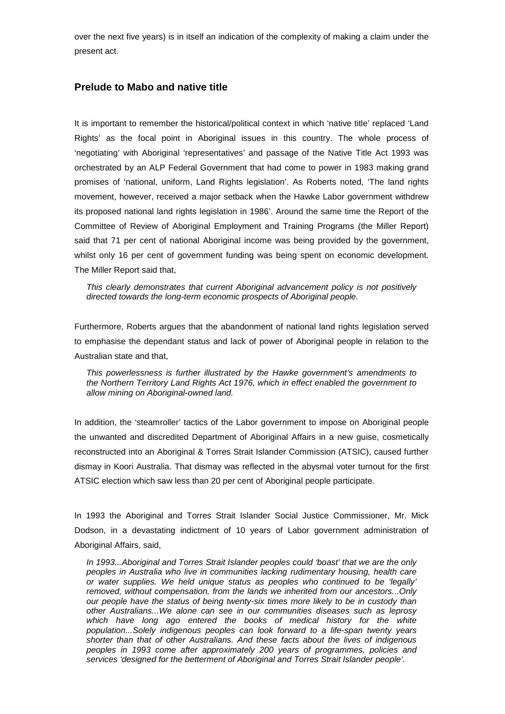over the next five years) is in itself an indication of the complexity of making a claim under the present act.

### **Prelude to Mabo and native title**

It is important to remember the historical/political context in which 'native title' replaced 'Land Rights' as the focal point in Aboriginal issues in this country. The whole process of 'negotiating' with Aboriginal 'representatives' and passage of the Native Title Act 1993 was orchestrated by an ALP Federal Government that had come to power in 1983 making grand promises of 'national, uniform, Land Rights legislation'. As Roberts noted, 'The land rights movement, however, received a major setback when the Hawke Labor government withdrew its proposed national land rights legislation in 1986'. Around the same time the Report of the Committee of Review of Aboriginal Employment and Training Programs (the Miller Report) said that 71 per cent of national Aboriginal income was being provided by the government, whilst only 16 per cent of government funding was being spent on economic development. The Miller Report said that,

*This clearly demonstrates that current Aboriginal advancement policy is not positively directed towards the long-term economic prospects of Aboriginal people.*

Furthermore, Roberts argues that the abandonment of national land rights legislation served to emphasise the dependant status and lack of power of Aboriginal people in relation to the Australian state and that,

*This powerlessness is further illustrated by the Hawke government's amendments to the Northern Territory Land Rights Act 1976, which in effect enabled the government to allow mining on Aboriginal-owned land.*

In addition, the 'steamroller' tactics of the Labor government to impose on Aboriginal people the unwanted and discredited Department of Aboriginal Affairs in a new guise, cosmetically reconstructed into an Aboriginal & Torres Strait Islander Commission (ATSIC), caused further dismay in Koori Australia. That dismay was reflected in the abysmal voter turnout for the first ATSIC election which saw less than 20 per cent of Aboriginal people participate.

In 1993 the Aboriginal and Torres Strait Islander Social Justice Commissioner, Mr. Mick Dodson, in a devastating indictment of 10 years of Labor government administration of Aboriginal Affairs, said,

*In 1993...Aboriginal and Torres Strait Islander peoples could 'boast' that we are the only peoples in Australia who live in communities lacking rudimentary housing, health care or water supplies. We held unique status as peoples who continued to be 'legally' removed, without compensation, from the lands we inherited from our ancestors...Only our people have the status of being twenty-six times more likely to be in custody than other Australians...We alone can see in our communities diseases such as leprosy which have long ago entered the books of medical history for the white population...Solely indigenous peoples can look forward to a life-span twenty years shorter than that of other Australians. And these facts about the lives of indigenous peoples in 1993 come after approximately 200 years of programmes, policies and services 'designed for the betterment of Aboriginal and Torres Strait Islander people'.*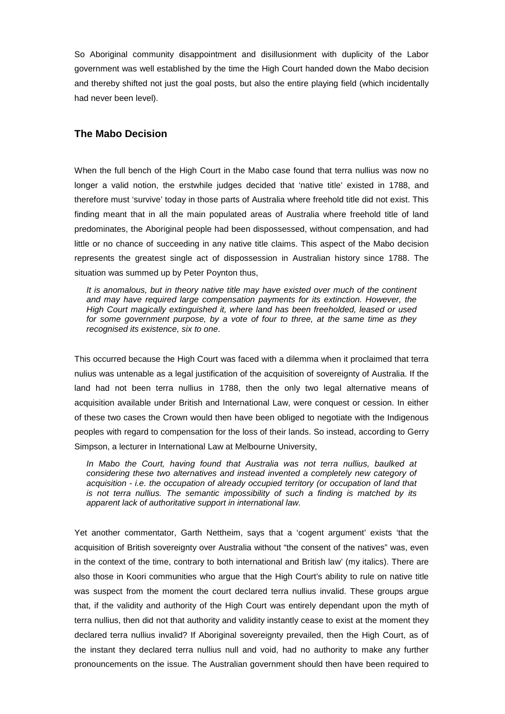So Aboriginal community disappointment and disillusionment with duplicity of the Labor government was well established by the time the High Court handed down the Mabo decision and thereby shifted not just the goal posts, but also the entire playing field (which incidentally had never been level).

#### **The Mabo Decision**

When the full bench of the High Court in the Mabo case found that terra nullius was now no longer a valid notion, the erstwhile judges decided that 'native title' existed in 1788, and therefore must 'survive' today in those parts of Australia where freehold title did not exist. This finding meant that in all the main populated areas of Australia where freehold title of land predominates, the Aboriginal people had been dispossessed, without compensation, and had little or no chance of succeeding in any native title claims. This aspect of the Mabo decision represents the greatest single act of dispossession in Australian history since 1788. The situation was summed up by Peter Poynton thus,

*It is anomalous, but in theory native title may have existed over much of the continent and may have required large compensation payments for its extinction. However, the High Court magically extinguished it, where land has been freeholded, leased or used for some government purpose, by a vote of four to three, at the same time as they recognised its existence, six to one*.

This occurred because the High Court was faced with a dilemma when it proclaimed that terra nulius was untenable as a legal justification of the acquisition of sovereignty of Australia. If the land had not been terra nullius in 1788, then the only two legal alternative means of acquisition available under British and International Law, were conquest or cession. In either of these two cases the Crown would then have been obliged to negotiate with the Indigenous peoples with regard to compensation for the loss of their lands. So instead, according to Gerry Simpson, a lecturer in International Law at Melbourne University,

In Mabo the Court, having found that Australia was not terra nullius, baulked at *considering these two alternatives and instead invented a completely new category of acquisition - i.e. the occupation of already occupied territory (or occupation of land that is not terra nullius. The semantic impossibility of such a finding is matched by its apparent lack of authoritative support in international law.*

Yet another commentator, Garth Nettheim, says that a 'cogent argument' exists 'that the acquisition of British sovereignty over Australia without "the consent of the natives" was, even in the context of the time, contrary to both international and British law' (my italics). There are also those in Koori communities who argue that the High Court's ability to rule on native title was suspect from the moment the court declared terra nullius invalid. These groups argue that, if the validity and authority of the High Court was entirely dependant upon the myth of terra nullius, then did not that authority and validity instantly cease to exist at the moment they declared terra nullius invalid? If Aboriginal sovereignty prevailed, then the High Court, as of the instant they declared terra nullius null and void, had no authority to make any further pronouncements on the issue. The Australian government should then have been required to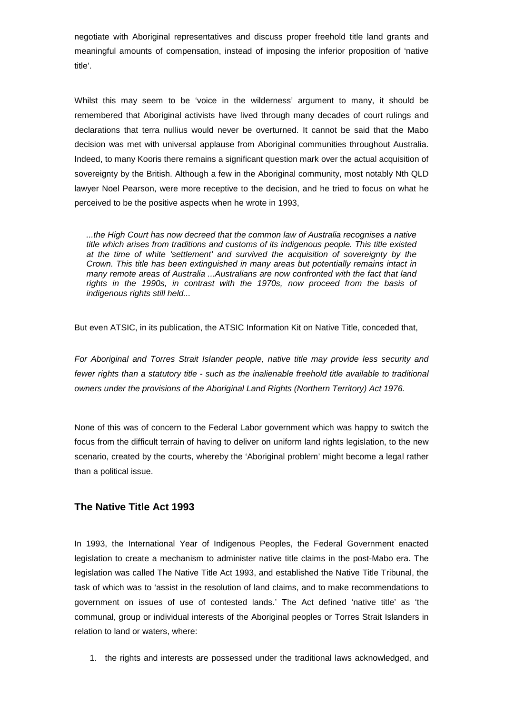negotiate with Aboriginal representatives and discuss proper freehold title land grants and meaningful amounts of compensation, instead of imposing the inferior proposition of 'native title'.

Whilst this may seem to be 'voice in the wilderness' argument to many, it should be remembered that Aboriginal activists have lived through many decades of court rulings and declarations that terra nullius would never be overturned. It cannot be said that the Mabo decision was met with universal applause from Aboriginal communities throughout Australia. Indeed, to many Kooris there remains a significant question mark over the actual acquisition of sovereignty by the British. Although a few in the Aboriginal community, most notably Nth QLD lawyer Noel Pearson, were more receptive to the decision, and he tried to focus on what he perceived to be the positive aspects when he wrote in 1993,

*...the High Court has now decreed that the common law of Australia recognises a native title which arises from traditions and customs of its indigenous people. This title existed at the time of white 'settlement' and survived the acquisition of sovereignty by the Crown. This title has been extinguished in many areas but potentially remains intact in many remote areas of Australia ...Australians are now confronted with the fact that land rights in the 1990s, in contrast with the 1970s, now proceed from the basis of indigenous rights still held...*

But even ATSIC, in its publication, the ATSIC Information Kit on Native Title, conceded that,

*For Aboriginal and Torres Strait Islander people, native title may provide less security and fewer rights than a statutory title - such as the inalienable freehold title available to traditional owners under the provisions of the Aboriginal Land Rights (Northern Territory) Act 1976.*

None of this was of concern to the Federal Labor government which was happy to switch the focus from the difficult terrain of having to deliver on uniform land rights legislation, to the new scenario, created by the courts, whereby the 'Aboriginal problem' might become a legal rather than a political issue.

### **The Native Title Act 1993**

In 1993, the International Year of Indigenous Peoples, the Federal Government enacted legislation to create a mechanism to administer native title claims in the post-Mabo era. The legislation was called The Native Title Act 1993, and established the Native Title Tribunal, the task of which was to 'assist in the resolution of land claims, and to make recommendations to government on issues of use of contested lands.' The Act defined 'native title' as 'the communal, group or individual interests of the Aboriginal peoples or Torres Strait Islanders in relation to land or waters, where:

1. the rights and interests are possessed under the traditional laws acknowledged, and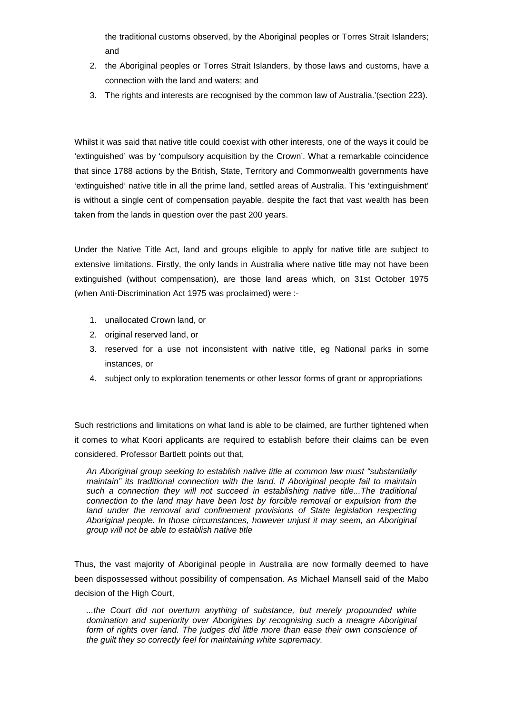the traditional customs observed, by the Aboriginal peoples or Torres Strait Islanders; and

- 2. the Aboriginal peoples or Torres Strait Islanders, by those laws and customs, have a connection with the land and waters; and
- 3. The rights and interests are recognised by the common law of Australia.'(section 223).

Whilst it was said that native title could coexist with other interests, one of the ways it could be 'extinguished' was by 'compulsory acquisition by the Crown'. What a remarkable coincidence that since 1788 actions by the British, State, Territory and Commonwealth governments have 'extinguished' native title in all the prime land, settled areas of Australia. This 'extinguishment' is without a single cent of compensation payable, despite the fact that vast wealth has been taken from the lands in question over the past 200 years.

Under the Native Title Act, land and groups eligible to apply for native title are subject to extensive limitations. Firstly, the only lands in Australia where native title may not have been extinguished (without compensation), are those land areas which, on 31st October 1975 (when Anti-Discrimination Act 1975 was proclaimed) were :-

- 1. unallocated Crown land, or
- 2. original reserved land, or
- 3. reserved for a use not inconsistent with native title, eg National parks in some instances, or
- 4. subject only to exploration tenements or other lessor forms of grant or appropriations

Such restrictions and limitations on what land is able to be claimed, are further tightened when it comes to what Koori applicants are required to establish before their claims can be even considered. Professor Bartlett points out that,

*An Aboriginal group seeking to establish native title at common law must "substantially maintain" its traditional connection with the land. If Aboriginal people fail to maintain such a connection they will not succeed in establishing native title...The traditional connection to the land may have been lost by forcible removal or expulsion from the*  land under the removal and confinement provisions of State legislation respecting *Aboriginal people. In those circumstances, however unjust it may seem, an Aboriginal group will not be able to establish native title*

Thus, the vast majority of Aboriginal people in Australia are now formally deemed to have been dispossessed without possibility of compensation. As Michael Mansell said of the Mabo decision of the High Court,

*...the Court did not overturn anything of substance, but merely propounded white domination and superiority over Aborigines by recognising such a meagre Aboriginal*  form of rights over land. The judges did little more than ease their own conscience of *the guilt they so correctly feel for maintaining white supremacy.*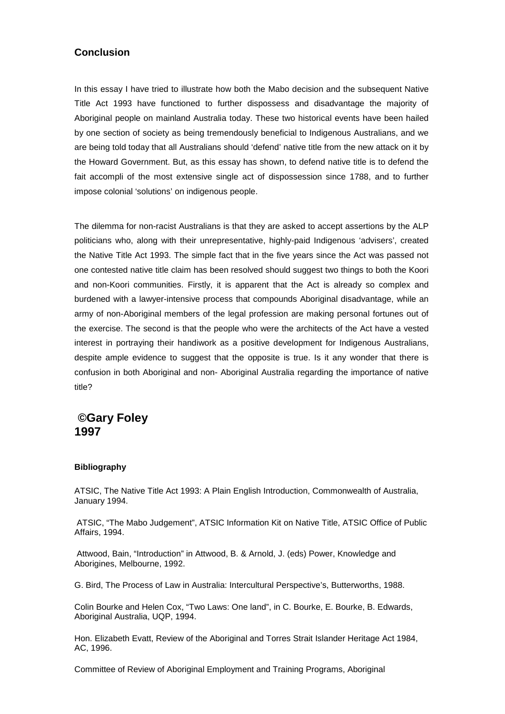### **Conclusion**

In this essay I have tried to illustrate how both the Mabo decision and the subsequent Native Title Act 1993 have functioned to further dispossess and disadvantage the majority of Aboriginal people on mainland Australia today. These two historical events have been hailed by one section of society as being tremendously beneficial to Indigenous Australians, and we are being told today that all Australians should 'defend' native title from the new attack on it by the Howard Government. But, as this essay has shown, to defend native title is to defend the fait accompli of the most extensive single act of dispossession since 1788, and to further impose colonial 'solutions' on indigenous people.

The dilemma for non-racist Australians is that they are asked to accept assertions by the ALP politicians who, along with their unrepresentative, highly-paid Indigenous 'advisers', created the Native Title Act 1993. The simple fact that in the five years since the Act was passed not one contested native title claim has been resolved should suggest two things to both the Koori and non-Koori communities. Firstly, it is apparent that the Act is already so complex and burdened with a lawyer-intensive process that compounds Aboriginal disadvantage, while an army of non-Aboriginal members of the legal profession are making personal fortunes out of the exercise. The second is that the people who were the architects of the Act have a vested interest in portraying their handiwork as a positive development for Indigenous Australians, despite ample evidence to suggest that the opposite is true. Is it any wonder that there is confusion in both Aboriginal and non- Aboriginal Australia regarding the importance of native title?

## **©Gary Foley 1997**

#### **Bibliography**

ATSIC, The Native Title Act 1993: A Plain English Introduction, Commonwealth of Australia, January 1994.

ATSIC, "The Mabo Judgement", ATSIC Information Kit on Native Title, ATSIC Office of Public Affairs, 1994.

Attwood, Bain, "Introduction" in Attwood, B. & Arnold, J. (eds) Power, Knowledge and Aborigines, Melbourne, 1992.

G. Bird, The Process of Law in Australia: Intercultural Perspective's, Butterworths, 1988.

Colin Bourke and Helen Cox, "Two Laws: One land", in C. Bourke, E. Bourke, B. Edwards, Aboriginal Australia, UQP, 1994.

Hon. Elizabeth Evatt, Review of the Aboriginal and Torres Strait Islander Heritage Act 1984, AC, 1996.

Committee of Review of Aboriginal Employment and Training Programs, Aboriginal